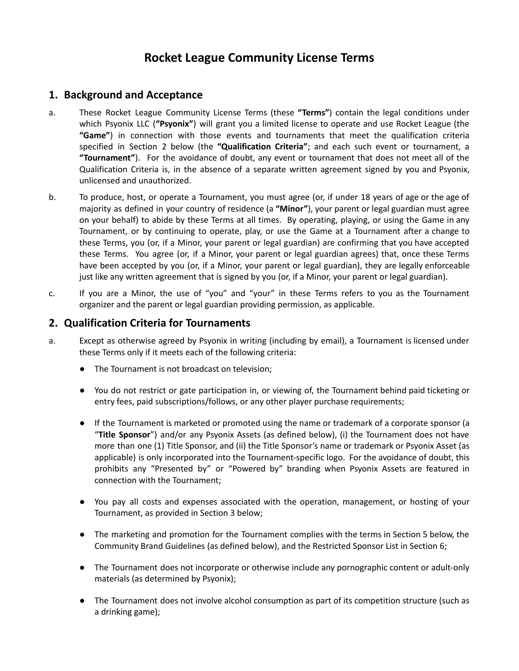# **Rocket League Community License Terms**

#### **1. Background and Acceptance**

- a. These Rocket League Community License Terms (these **"Terms"**) contain the legal conditions under which Psyonix LLC (**"Psyonix"**) will grant you a limited license to operate and use Rocket League (the **"Game"**) in connection with those events and tournaments that meet the qualification criteria specified in Section 2 below (the **"Qualification Criteria"**; and each such event or tournament, a **"Tournament"**). For the avoidance of doubt, any event or tournament that does not meet all of the Qualification Criteria is, in the absence of a separate written agreement signed by you and Psyonix, unlicensed and unauthorized.
- b. To produce, host, or operate a Tournament, you must agree (or, if under 18 years of age or the age of majority as defined in your country of residence (a **"Minor"**), your parent or legal guardian must agree on your behalf) to abide by these Terms at all times. By operating, playing, or using the Game in any Tournament, or by continuing to operate, play, or use the Game at a Tournament after a change to these Terms, you (or, if a Minor, your parent or legal guardian) are confirming that you have accepted these Terms. You agree (or, if a Minor, your parent or legal guardian agrees) that, once these Terms have been accepted by you (or, if a Minor, your parent or legal guardian), they are legally enforceable just like any written agreement that is signed by you (or, if a Minor, your parent or legal guardian).
- c. If you are a Minor, the use of "you" and "your" in these Terms refers to you as the Tournament organizer and the parent or legal guardian providing permission, as applicable.

#### **2. Qualification Criteria for Tournaments**

- a. Except as otherwise agreed by Psyonix in writing (including by email), a Tournament is licensed under these Terms only if it meets each of the following criteria:
	- The Tournament is not broadcast on television;
	- You do not restrict or gate participation in, or viewing of, the Tournament behind paid ticketing or entry fees, paid subscriptions/follows, or any other player purchase requirements;
	- If the Tournament is marketed or promoted using the name or trademark of a corporate sponsor (a "**Title Sponsor**") and/or any Psyonix Assets (as defined below), (i) the Tournament does not have more than one (1) Title Sponsor, and (ii) the Title Sponsor's name or trademark or Psyonix Asset (as applicable) is only incorporated into the Tournament-specific logo. For the avoidance of doubt, this prohibits any "Presented by" or "Powered by" branding when Psyonix Assets are featured in connection with the Tournament;
	- You pay all costs and expenses associated with the operation, management, or hosting of your Tournament, as provided in Section 3 below;
	- The marketing and promotion for the Tournament complies with the terms in Section 5 below, the Community Brand Guidelines (as defined below), and the Restricted Sponsor List in Section 6;
	- The Tournament does not incorporate or otherwise include any pornographic content or adult-only materials (as determined by Psyonix);
	- The Tournament does not involve alcohol consumption as part of its competition structure (such as a drinking game);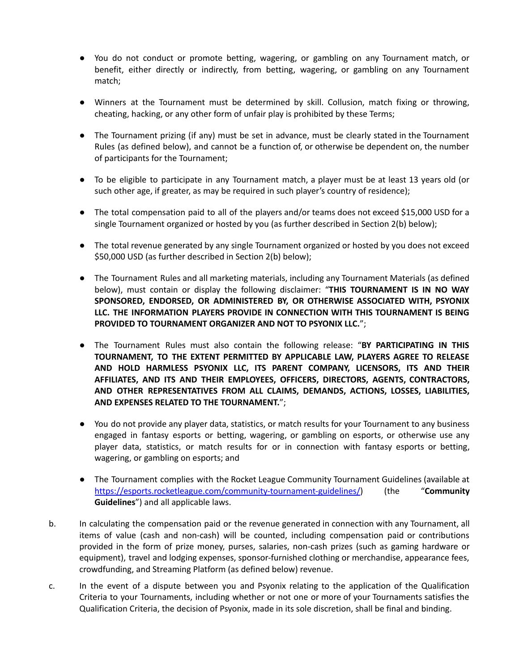- You do not conduct or promote betting, wagering, or gambling on any Tournament match, or benefit, either directly or indirectly, from betting, wagering, or gambling on any Tournament match;
- Winners at the Tournament must be determined by skill. Collusion, match fixing or throwing, cheating, hacking, or any other form of unfair play is prohibited by these Terms;
- The Tournament prizing (if any) must be set in advance, must be clearly stated in the Tournament Rules (as defined below), and cannot be a function of, or otherwise be dependent on, the number of participants for the Tournament;
- To be eligible to participate in any Tournament match, a player must be at least 13 years old (or such other age, if greater, as may be required in such player's country of residence);
- The total compensation paid to all of the players and/or teams does not exceed \$15,000 USD for a single Tournament organized or hosted by you (as further described in Section 2(b) below);
- The total revenue generated by any single Tournament organized or hosted by you does not exceed \$50,000 USD (as further described in Section 2(b) below);
- The Tournament Rules and all marketing materials, including any Tournament Materials (as defined below), must contain or display the following disclaimer: "**THIS TOURNAMENT IS IN NO WAY SPONSORED, ENDORSED, OR ADMINISTERED BY, OR OTHERWISE ASSOCIATED WITH, PSYONIX LLC. THE INFORMATION PLAYERS PROVIDE IN CONNECTION WITH THIS TOURNAMENT IS BEING PROVIDED TO TOURNAMENT ORGANIZER AND NOT TO PSYONIX LLC.**";
- The Tournament Rules must also contain the following release: "**BY PARTICIPATING IN THIS TOURNAMENT, TO THE EXTENT PERMITTED BY APPLICABLE LAW, PLAYERS AGREE TO RELEASE AND HOLD HARMLESS PSYONIX LLC, ITS PARENT COMPANY, LICENSORS, ITS AND THEIR AFFILIATES, AND ITS AND THEIR EMPLOYEES, OFFICERS, DIRECTORS, AGENTS, CONTRACTORS, AND OTHER REPRESENTATIVES FROM ALL CLAIMS, DEMANDS, ACTIONS, LOSSES, LIABILITIES, AND EXPENSES RELATED TO THE TOURNAMENT.**";
- You do not provide any player data, statistics, or match results for your Tournament to any business engaged in fantasy esports or betting, wagering, or gambling on esports, or otherwise use any player data, statistics, or match results for or in connection with fantasy esports or betting, wagering, or gambling on esports; and
- The Tournament complies with the Rocket League Community Tournament Guidelines (available at https://esports.rocketleague.com/community-tournament-guidelines/) (the "**Community Guidelines**") and all applicable laws.
- b. In calculating the compensation paid or the revenue generated in connection with any Tournament, all items of value (cash and non-cash) will be counted, including compensation paid or contributions provided in the form of prize money, purses, salaries, non-cash prizes (such as gaming hardware or equipment), travel and lodging expenses, sponsor-furnished clothing or merchandise, appearance fees, crowdfunding, and Streaming Platform (as defined below) revenue.
- c. In the event of a dispute between you and Psyonix relating to the application of the Qualification Criteria to your Tournaments, including whether or not one or more of your Tournaments satisfies the Qualification Criteria, the decision of Psyonix, made in its sole discretion, shall be final and binding.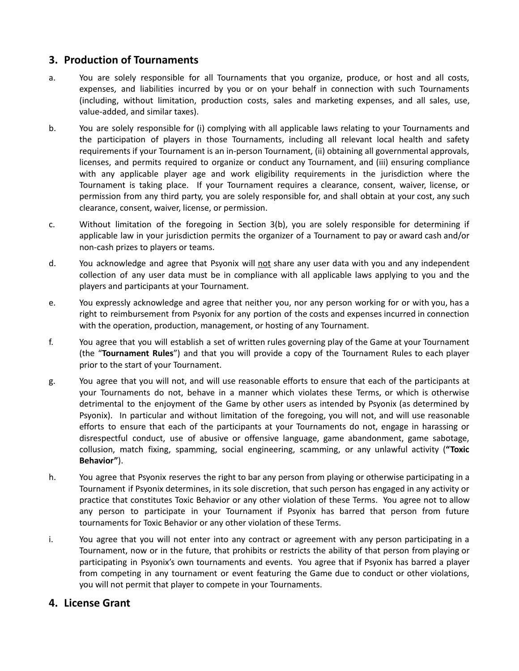# **3. Production of Tournaments**

- a. You are solely responsible for all Tournaments that you organize, produce, or host and all costs, expenses, and liabilities incurred by you or on your behalf in connection with such Tournaments (including, without limitation, production costs, sales and marketing expenses, and all sales, use, value-added, and similar taxes).
- b. You are solely responsible for (i) complying with all applicable laws relating to your Tournaments and the participation of players in those Tournaments, including all relevant local health and safety requirements if your Tournament is an in-person Tournament, (ii) obtaining all governmental approvals, licenses, and permits required to organize or conduct any Tournament, and (iii) ensuring compliance with any applicable player age and work eligibility requirements in the jurisdiction where the Tournament is taking place. If your Tournament requires a clearance, consent, waiver, license, or permission from any third party, you are solely responsible for, and shall obtain at your cost, any such clearance, consent, waiver, license, or permission.
- c. Without limitation of the foregoing in Section 3(b), you are solely responsible for determining if applicable law in your jurisdiction permits the organizer of a Tournament to pay or award cash and/or non-cash prizes to players or teams.
- d. You acknowledge and agree that Psyonix will not share any user data with you and any independent collection of any user data must be in compliance with all applicable laws applying to you and the players and participants at your Tournament.
- e. You expressly acknowledge and agree that neither you, nor any person working for or with you, has a right to reimbursement from Psyonix for any portion of the costs and expenses incurred in connection with the operation, production, management, or hosting of any Tournament.
- f. You agree that you will establish a set of written rules governing play of the Game at your Tournament (the "**Tournament Rules**") and that you will provide a copy of the Tournament Rules to each player prior to the start of your Tournament.
- g. You agree that you will not, and will use reasonable efforts to ensure that each of the participants at your Tournaments do not, behave in a manner which violates these Terms, or which is otherwise detrimental to the enjoyment of the Game by other users as intended by Psyonix (as determined by Psyonix). In particular and without limitation of the foregoing, you will not, and will use reasonable efforts to ensure that each of the participants at your Tournaments do not, engage in harassing or disrespectful conduct, use of abusive or offensive language, game abandonment, game sabotage, collusion, match fixing, spamming, social engineering, scamming, or any unlawful activity (**"Toxic Behavior"**).
- h. You agree that Psyonix reserves the right to bar any person from playing or otherwise participating in a Tournament if Psyonix determines, in its sole discretion, that such person has engaged in any activity or practice that constitutes Toxic Behavior or any other violation of these Terms. You agree not to allow any person to participate in your Tournament if Psyonix has barred that person from future tournaments for Toxic Behavior or any other violation of these Terms.
- i. You agree that you will not enter into any contract or agreement with any person participating in a Tournament, now or in the future, that prohibits or restricts the ability of that person from playing or participating in Psyonix's own tournaments and events. You agree that if Psyonix has barred a player from competing in any tournament or event featuring the Game due to conduct or other violations, you will not permit that player to compete in your Tournaments.

#### **4. License Grant**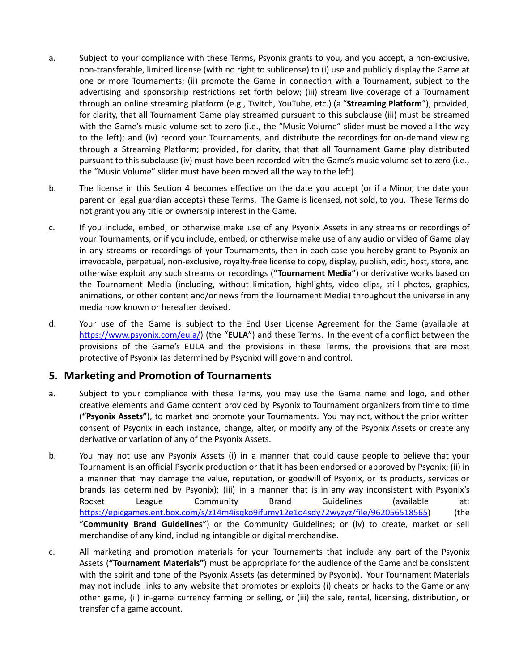- a. Subject to your compliance with these Terms, Psyonix grants to you, and you accept, a non-exclusive, non-transferable, limited license (with no right to sublicense) to (i) use and publicly display the Game at one or more Tournaments; (ii) promote the Game in connection with a Tournament, subject to the advertising and sponsorship restrictions set forth below; (iii) stream live coverage of a Tournament through an online streaming platform (e.g., Twitch, YouTube, etc.) (a "**Streaming Platform**"); provided, for clarity, that all Tournament Game play streamed pursuant to this subclause (iii) must be streamed with the Game's music volume set to zero (i.e., the "Music Volume" slider must be moved all the way to the left); and (iv) record your Tournaments, and distribute the recordings for on-demand viewing through a Streaming Platform; provided, for clarity, that that all Tournament Game play distributed pursuant to this subclause (iv) must have been recorded with the Game's music volume set to zero (i.e., the "Music Volume" slider must have been moved all the way to the left).
- b. The license in this Section 4 becomes effective on the date you accept (or if a Minor, the date your parent or legal guardian accepts) these Terms. The Game is licensed, not sold, to you. These Terms do not grant you any title or ownership interest in the Game.
- c. If you include, embed, or otherwise make use of any Psyonix Assets in any streams or recordings of your Tournaments, or if you include, embed, or otherwise make use of any audio or video of Game play in any streams or recordings of your Tournaments, then in each case you hereby grant to Psyonix an irrevocable, perpetual, non-exclusive, royalty-free license to copy, display, publish, edit, host, store, and otherwise exploit any such streams or recordings (**"Tournament Media"**) or derivative works based on the Tournament Media (including, without limitation, highlights, video clips, still photos, graphics, animations, or other content and/or news from the Tournament Media) throughout the universe in any media now known or hereafter devised.
- d. Your use of the Game is subject to the End User License Agreement for the Game (available at https://www.psyonix.com/eula/) (the "**EULA**") and these Terms. In the event of a conflict between the provisions of the Game's EULA and the provisions in these Terms, the provisions that are most protective of Psyonix (as determined by Psyonix) will govern and control.

#### **5. Marketing and Promotion of Tournaments**

- a. Subject to your compliance with these Terms, you may use the Game name and logo, and other creative elements and Game content provided by Psyonix to Tournament organizers from time to time (**"Psyonix Assets"**), to market and promote your Tournaments. You may not, without the prior written consent of Psyonix in each instance, change, alter, or modify any of the Psyonix Assets or create any derivative or variation of any of the Psyonix Assets.
- b. You may not use any Psyonix Assets (i) in a manner that could cause people to believe that your Tournament is an official Psyonix production or that it has been endorsed or approved by Psyonix; (ii) in a manner that may damage the value, reputation, or goodwill of Psyonix, or its products, services or brands (as determined by Psyonix); (iii) in a manner that is in any way inconsistent with Psyonix's Rocket League Community Brand Guidelines (available at: [https://epicgames.ent.box.com/s/z14m4isqko9ifumy12e1o4sdy72wyzyz/file/962056518565\)](https://epicgames.ent.box.com/s/z14m4isqko9ifumy12e1o4sdy72wyzyz/file/962056518565) (the "**Community Brand Guidelines**") or the Community Guidelines; or (iv) to create, market or sell merchandise of any kind, including intangible or digital merchandise.
- c. All marketing and promotion materials for your Tournaments that include any part of the Psyonix Assets (**"Tournament Materials"**) must be appropriate for the audience of the Game and be consistent with the spirit and tone of the Psyonix Assets (as determined by Psyonix). Your Tournament Materials may not include links to any website that promotes or exploits (i) cheats or hacks to the Game or any other game, (ii) in-game currency farming or selling, or (iii) the sale, rental, licensing, distribution, or transfer of a game account.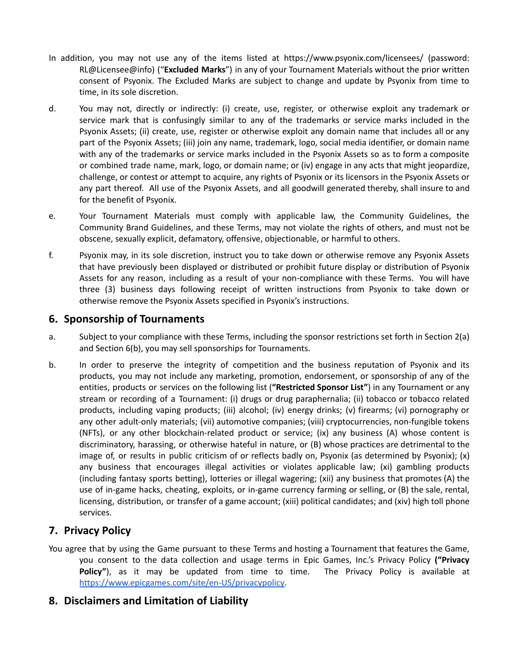- In addition, you may not use any of the items listed at https://www.psyonix.com/licensees/ (password: RL@Licensee@info) ("**Excluded Marks**") in any of your Tournament Materials without the prior written consent of Psyonix. The Excluded Marks are subject to change and update by Psyonix from time to time, in its sole discretion.
- d. You may not, directly or indirectly: (i) create, use, register, or otherwise exploit any trademark or service mark that is confusingly similar to any of the trademarks or service marks included in the Psyonix Assets; (ii) create, use, register or otherwise exploit any domain name that includes all or any part of the Psyonix Assets; (iii) join any name, trademark, logo, social media identifier, or domain name with any of the trademarks or service marks included in the Psyonix Assets so as to form a composite or combined trade name, mark, logo, or domain name; or (iv) engage in any acts that might jeopardize, challenge, or contest or attempt to acquire, any rights of Psyonix or its licensors in the Psyonix Assets or any part thereof. All use of the Psyonix Assets, and all goodwill generated thereby, shall insure to and for the benefit of Psyonix.
- e. Your Tournament Materials must comply with applicable law, the Community Guidelines, the Community Brand Guidelines, and these Terms, may not violate the rights of others, and must not be obscene, sexually explicit, defamatory, offensive, objectionable, or harmful to others.
- f. Psyonix may, in its sole discretion, instruct you to take down or otherwise remove any Psyonix Assets that have previously been displayed or distributed or prohibit future display or distribution of Psyonix Assets for any reason, including as a result of your non-compliance with these Terms. You will have three (3) business days following receipt of written instructions from Psyonix to take down or otherwise remove the Psyonix Assets specified in Psyonix's instructions.

## **6. Sponsorship of Tournaments**

- a. Subject to your compliance with these Terms, including the sponsor restrictions set forth in Section 2(a) and Section 6(b), you may sell sponsorships for Tournaments.
- b. In order to preserve the integrity of competition and the business reputation of Psyonix and its products, you may not include any marketing, promotion, endorsement, or sponsorship of any of the entities, products or services on the following list (**"Restricted Sponsor List"**) in any Tournament or any stream or recording of a Tournament: (i) drugs or drug paraphernalia; (ii) tobacco or tobacco related products, including vaping products; (iii) alcohol; (iv) energy drinks; (v) firearms; (vi) pornography or any other adult-only materials; (vii) automotive companies; (viii) cryptocurrencies, non-fungible tokens (NFTs), or any other blockchain-related product or service; (ix) any business (A) whose content is discriminatory, harassing, or otherwise hateful in nature, or (B) whose practices are detrimental to the image of, or results in public criticism of or reflects badly on, Psyonix (as determined by Psyonix); (x) any business that encourages illegal activities or violates applicable law; (xi) gambling products (including fantasy sports betting), lotteries or illegal wagering; (xii) any business that promotes (A) the use of in-game hacks, cheating, exploits, or in-game currency farming or selling, or (B) the sale, rental, licensing, distribution, or transfer of a game account; (xiii) political candidates; and (xiv) high toll phone services.

## **7. Privacy Policy**

You agree that by using the Game pursuant to these Terms and hosting a Tournament that features the Game, you consent to the data collection and usage terms in Epic Games, Inc.'s Privacy Policy **("Privacy** Policy"), as it may be updated from time to time. The Privacy Policy is available at https://www.epicgames.com/site/en-US/privacypolicy.

## **8. Disclaimers and Limitation of Liability**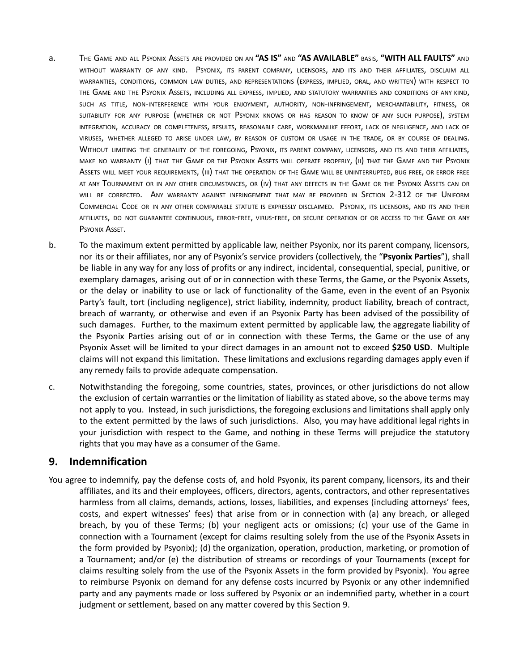- a. THE GAME AND ALL PSYONIX ASSETS ARE PROVIDED ON AN **"AS IS"** AND **"AS AVAILABLE"** BASIS, **"WITH ALL FAULTS"** AND WITHOUT WARRANTY OF ANY KIND. PSYONIX, ITS PARENT COMPANY, LICENSORS, AND ITS AND THEIR AFFILIATES, DISCLAIM ALL WARRANTIES, CONDITIONS, COMMON LAW DUTIES, AND REPRESENTATIONS (EXPRESS, IMPLIED, ORAL, AND WRITTEN) WITH RESPECT TO THE GAME AND THE PSYONIX ASSETS, INCLUDING ALL EXPRESS, IMPLIED, AND STATUTORY WARRANTIES AND CONDITIONS OF ANY KIND, SUCH AS TITLE, NON-INTERFERENCE WITH YOUR ENJOYMENT, AUTHORITY, NON-INFRINGEMENT, MERCHANTABILITY, FITNESS, OR SUITABILITY FOR ANY PURPOSE (WHETHER OR NOT PSYONIX KNOWS OR HAS REASON TO KNOW OF ANY SUCH PURPOSE), SYSTEM INTEGRATION, ACCURACY OR COMPLETENESS, RESULTS, REASONABLE CARE, WORKMANLIKE EFFORT, LACK OF NEGLIGENCE, AND LACK OF VIRUSES, WHETHER ALLEGED TO ARISE UNDER LAW, BY REASON OF CUSTOM OR USAGE IN THE TRADE, OR BY COURSE OF DEALING. WITHOUT LIMITING THE GENERALITY OF THE FOREGOING, PSYONIX, ITS PARENT COMPANY, LICENSORS, AND ITS AND THEIR AFFILIATES, MAKE NO WARRANTY (I) THAT THE GAME OR THE PSYONIX ASSETS WILL OPERATE PROPERLY, (II) THAT THE GAME AND THE PSYONIX ASSETS WILL MEET YOUR REQUIREMENTS, (III) THAT THE OPERATION OF THE GAME WILL BE UNINTERRUPTED, BUG FREE, OR ERROR FREE AT ANY TOURNAMENT OR IN ANY OTHER CIRCUMSTANCES, OR (IV) THAT ANY DEFECTS IN THE GAME OR THE PSYONIX ASSETS CAN OR WILL BE CORRECTED. ANY WARRANTY AGAINST INFRINGEMENT THAT MAY BE PROVIDED IN SECTION 2-312 OF THE UNIFORM COMMERCIAL CODE OR IN ANY OTHER COMPARABLE STATUTE IS EXPRESSLY DISCLAIMED. PSYONIX, ITS LICENSORS, AND ITS AND THEIR AFFILIATES, DO NOT GUARANTEE CONTINUOUS, ERROR-FREE, VIRUS-FREE, OR SECURE OPERATION OF OR ACCESS TO THE GAME OR ANY PSYONIX ASSET.
- b. To the maximum extent permitted by applicable law, neither Psyonix, nor its parent company, licensors, nor its or their affiliates, nor any of Psyonix's service providers (collectively, the "**Psyonix Parties**"), shall be liable in any way for any loss of profits or any indirect, incidental, consequential, special, punitive, or exemplary damages, arising out of or in connection with these Terms, the Game, or the Psyonix Assets, or the delay or inability to use or lack of functionality of the Game, even in the event of an Psyonix Party's fault, tort (including negligence), strict liability, indemnity, product liability, breach of contract, breach of warranty, or otherwise and even if an Psyonix Party has been advised of the possibility of such damages. Further, to the maximum extent permitted by applicable law, the aggregate liability of the Psyonix Parties arising out of or in connection with these Terms, the Game or the use of any Psyonix Asset will be limited to your direct damages in an amount not to exceed **\$250 USD**. Multiple claims will not expand this limitation. These limitations and exclusions regarding damages apply even if any remedy fails to provide adequate compensation.
- c. Notwithstanding the foregoing, some countries, states, provinces, or other jurisdictions do not allow the exclusion of certain warranties or the limitation of liability as stated above, so the above terms may not apply to you. Instead, in such jurisdictions, the foregoing exclusions and limitations shall apply only to the extent permitted by the laws of such jurisdictions. Also, you may have additional legal rights in your jurisdiction with respect to the Game, and nothing in these Terms will prejudice the statutory rights that you may have as a consumer of the Game.

#### **9. Indemnification**

You agree to indemnify, pay the defense costs of, and hold Psyonix, its parent company, licensors, its and their affiliates, and its and their employees, officers, directors, agents, contractors, and other representatives harmless from all claims, demands, actions, losses, liabilities, and expenses (including attorneys' fees, costs, and expert witnesses' fees) that arise from or in connection with (a) any breach, or alleged breach, by you of these Terms; (b) your negligent acts or omissions; (c) your use of the Game in connection with a Tournament (except for claims resulting solely from the use of the Psyonix Assets in the form provided by Psyonix); (d) the organization, operation, production, marketing, or promotion of a Tournament; and/or (e) the distribution of streams or recordings of your Tournaments (except for claims resulting solely from the use of the Psyonix Assets in the form provided by Psyonix). You agree to reimburse Psyonix on demand for any defense costs incurred by Psyonix or any other indemnified party and any payments made or loss suffered by Psyonix or an indemnified party, whether in a court judgment or settlement, based on any matter covered by this Section 9.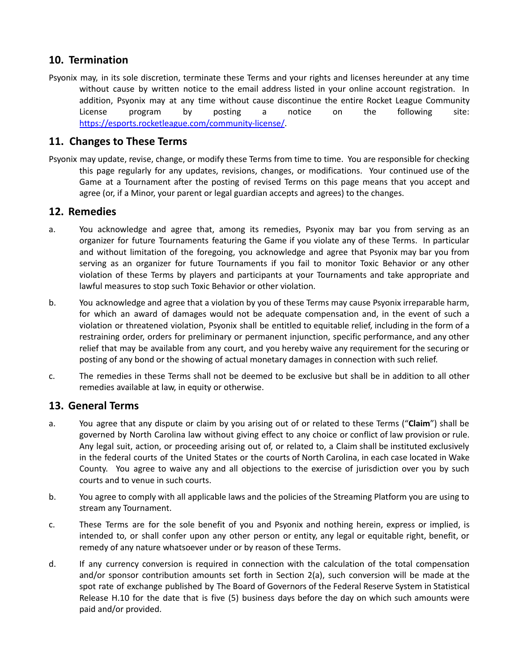# **10. Termination**

Psyonix may, in its sole discretion, terminate these Terms and your rights and licenses hereunder at any time without cause by written notice to the email address listed in your online account registration. In addition, Psyonix may at any time without cause discontinue the entire Rocket League Community License program by posting a notice on the following site: https://esports.rocketleague.com/community-license/.

## **11. Changes to These Terms**

Psyonix may update, revise, change, or modify these Terms from time to time. You are responsible for checking this page regularly for any updates, revisions, changes, or modifications. Your continued use of the Game at a Tournament after the posting of revised Terms on this page means that you accept and agree (or, if a Minor, your parent or legal guardian accepts and agrees) to the changes.

#### **12. Remedies**

- a. You acknowledge and agree that, among its remedies, Psyonix may bar you from serving as an organizer for future Tournaments featuring the Game if you violate any of these Terms. In particular and without limitation of the foregoing, you acknowledge and agree that Psyonix may bar you from serving as an organizer for future Tournaments if you fail to monitor Toxic Behavior or any other violation of these Terms by players and participants at your Tournaments and take appropriate and lawful measures to stop such Toxic Behavior or other violation.
- b. You acknowledge and agree that a violation by you of these Terms may cause Psyonix irreparable harm, for which an award of damages would not be adequate compensation and, in the event of such a violation or threatened violation, Psyonix shall be entitled to equitable relief, including in the form of a restraining order, orders for preliminary or permanent injunction, specific performance, and any other relief that may be available from any court, and you hereby waive any requirement for the securing or posting of any bond or the showing of actual monetary damages in connection with such relief.
- c. The remedies in these Terms shall not be deemed to be exclusive but shall be in addition to all other remedies available at law, in equity or otherwise.

## **13. General Terms**

- a. You agree that any dispute or claim by you arising out of or related to these Terms ("**Claim**") shall be governed by North Carolina law without giving effect to any choice or conflict of law provision or rule. Any legal suit, action, or proceeding arising out of, or related to, a Claim shall be instituted exclusively in the federal courts of the United States or the courts of North Carolina, in each case located in Wake County. You agree to waive any and all objections to the exercise of jurisdiction over you by such courts and to venue in such courts.
- b. You agree to comply with all applicable laws and the policies of the Streaming Platform you are using to stream any Tournament.
- c. These Terms are for the sole benefit of you and Psyonix and nothing herein, express or implied, is intended to, or shall confer upon any other person or entity, any legal or equitable right, benefit, or remedy of any nature whatsoever under or by reason of these Terms.
- d. If any currency conversion is required in connection with the calculation of the total compensation and/or sponsor contribution amounts set forth in Section 2(a), such conversion will be made at the spot rate of exchange published by The Board of Governors of the Federal Reserve System in Statistical Release H.10 for the date that is five (5) business days before the day on which such amounts were paid and/or provided.